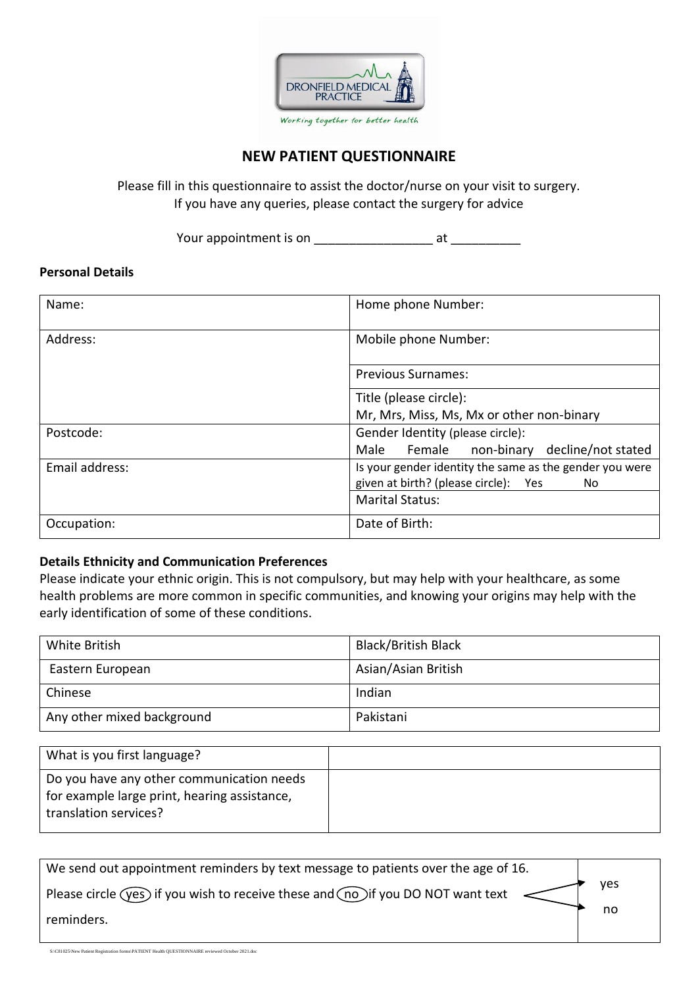

#### **NEW PATIENT QUESTIONNAIRE**

Please fill in this questionnaire to assist the doctor/nurse on your visit to surgery. If you have any queries, please contact the surgery for advice

Your appointment is on \_\_\_\_\_\_\_\_\_\_\_\_\_\_\_\_\_ at \_\_\_\_\_\_\_\_\_\_

#### **Personal Details**

| Name:          | Home phone Number:                                                                                        |  |  |  |
|----------------|-----------------------------------------------------------------------------------------------------------|--|--|--|
| Address:       | Mobile phone Number:                                                                                      |  |  |  |
|                | <b>Previous Surnames:</b>                                                                                 |  |  |  |
|                | Title (please circle):                                                                                    |  |  |  |
|                | Mr, Mrs, Miss, Ms, Mx or other non-binary                                                                 |  |  |  |
| Postcode:      | Gender Identity (please circle):                                                                          |  |  |  |
|                | Female non-binary decline/not stated<br>Male                                                              |  |  |  |
| Email address: | Is your gender identity the same as the gender you were<br>given at birth? (please circle):<br>Yes<br>No. |  |  |  |
|                | <b>Marital Status:</b>                                                                                    |  |  |  |
| Occupation:    | Date of Birth:                                                                                            |  |  |  |

#### **Details Ethnicity and Communication Preferences**

Please indicate your ethnic origin. This is not compulsory, but may help with your healthcare, as some health problems are more common in specific communities, and knowing your origins may help with the early identification of some of these conditions.

| White British              | <b>Black/British Black</b> |
|----------------------------|----------------------------|
| Eastern European           | Asian/Asian British        |
| Chinese                    | Indian                     |
| Any other mixed background | Pakistani                  |

| What is you first language?                                                                                        |  |
|--------------------------------------------------------------------------------------------------------------------|--|
| Do you have any other communication needs<br>for example large print, hearing assistance,<br>translation services? |  |

| We send out appointment reminders by text message to patients over the age of 16.              |            |
|------------------------------------------------------------------------------------------------|------------|
| Please circle $($ yes) if you wish to receive these and $($ no) if you DO NOT want text $\leq$ | <b>ves</b> |
| reminders.                                                                                     | no         |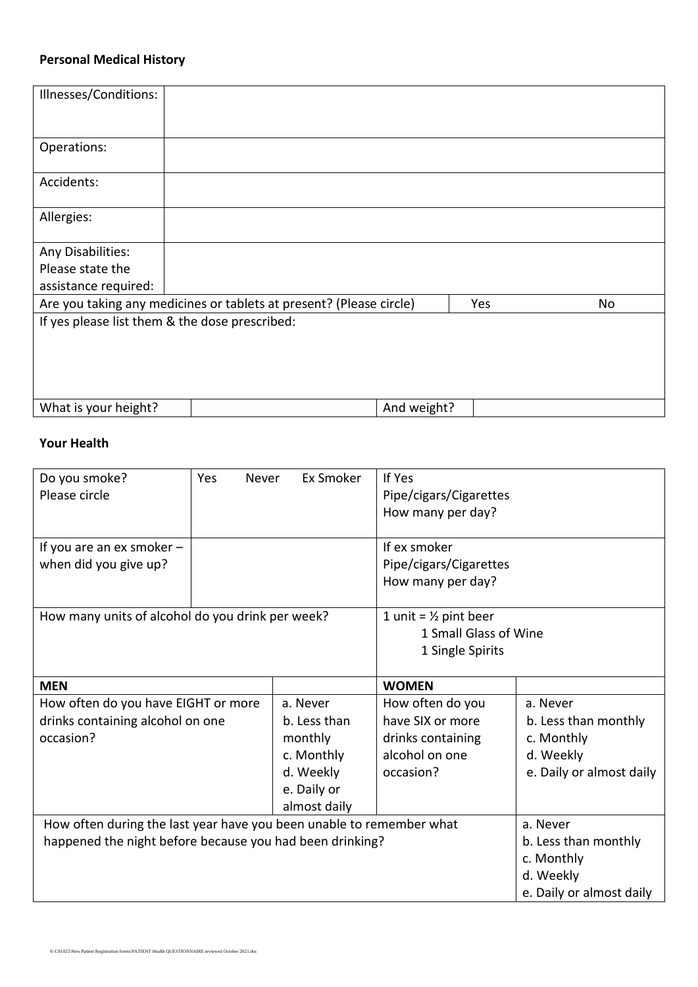#### **Personal Medical History**

| Illnesses/Conditions:                          |                                                                     |             |     |    |
|------------------------------------------------|---------------------------------------------------------------------|-------------|-----|----|
|                                                |                                                                     |             |     |    |
|                                                |                                                                     |             |     |    |
|                                                |                                                                     |             |     |    |
| Operations:                                    |                                                                     |             |     |    |
|                                                |                                                                     |             |     |    |
|                                                |                                                                     |             |     |    |
| Accidents:                                     |                                                                     |             |     |    |
|                                                |                                                                     |             |     |    |
| Allergies:                                     |                                                                     |             |     |    |
|                                                |                                                                     |             |     |    |
|                                                |                                                                     |             |     |    |
| Any Disabilities:                              |                                                                     |             |     |    |
| Please state the                               |                                                                     |             |     |    |
| assistance required:                           |                                                                     |             |     |    |
|                                                | Are you taking any medicines or tablets at present? (Please circle) |             | Yes | No |
|                                                |                                                                     |             |     |    |
| If yes please list them & the dose prescribed: |                                                                     |             |     |    |
|                                                |                                                                     |             |     |    |
|                                                |                                                                     |             |     |    |
|                                                |                                                                     |             |     |    |
|                                                |                                                                     |             |     |    |
|                                                |                                                                     |             |     |    |
| What is your height?                           |                                                                     | And weight? |     |    |
|                                                |                                                                     |             |     |    |

#### **Your Health**

| Do you smoke?<br>Please circle                                       | Yes<br>Never<br>Ex Smoker |              | If Yes<br>Pipe/cigars/Cigarettes |                          |  |  |
|----------------------------------------------------------------------|---------------------------|--------------|----------------------------------|--------------------------|--|--|
|                                                                      |                           |              | How many per day?                |                          |  |  |
| If you are an ex smoker -                                            |                           |              | If ex smoker                     |                          |  |  |
| when did you give up?                                                |                           |              | Pipe/cigars/Cigarettes           |                          |  |  |
|                                                                      |                           |              | How many per day?                |                          |  |  |
| How many units of alcohol do you drink per week?                     |                           |              | 1 unit = $\frac{1}{2}$ pint beer |                          |  |  |
|                                                                      |                           |              | 1 Small Glass of Wine            |                          |  |  |
|                                                                      |                           |              | 1 Single Spirits                 |                          |  |  |
|                                                                      |                           |              |                                  |                          |  |  |
| <b>MEN</b>                                                           |                           |              | <b>WOMEN</b>                     |                          |  |  |
| How often do you have EIGHT or more                                  |                           | a. Never     | How often do you                 | a. Never                 |  |  |
| drinks containing alcohol on one                                     |                           | b. Less than | have SIX or more                 | b. Less than monthly     |  |  |
| occasion?                                                            |                           | monthly      | drinks containing                | c. Monthly               |  |  |
|                                                                      |                           | c. Monthly   | alcohol on one                   | d. Weekly                |  |  |
|                                                                      |                           | d. Weekly    | occasion?                        | e. Daily or almost daily |  |  |
|                                                                      |                           | e. Daily or  |                                  |                          |  |  |
| almost daily                                                         |                           |              |                                  |                          |  |  |
| How often during the last year have you been unable to remember what |                           |              | a. Never                         |                          |  |  |
| happened the night before because you had been drinking?             |                           |              | b. Less than monthly             |                          |  |  |
|                                                                      |                           |              | c. Monthly                       |                          |  |  |
|                                                                      |                           |              |                                  | d. Weekly                |  |  |
|                                                                      |                           |              |                                  | e. Daily or almost daily |  |  |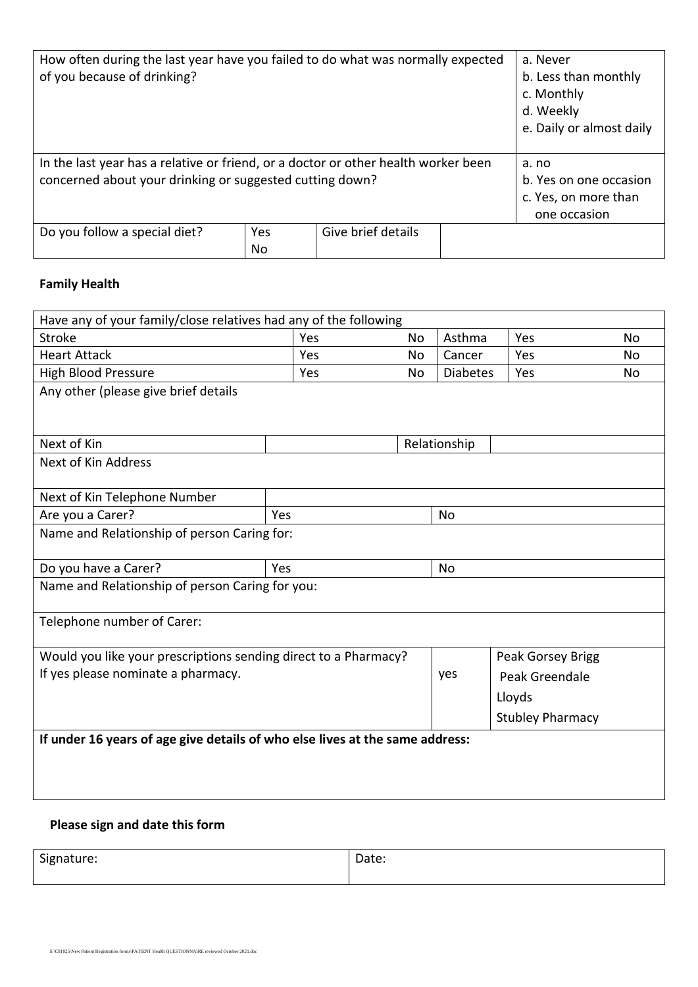| How often during the last year have you failed to do what was normally expected<br>of you because of drinking?                                 |           |                    | a. Never<br>b. Less than monthly<br>c. Monthly<br>d. Weekly<br>e. Daily or almost daily |  |
|------------------------------------------------------------------------------------------------------------------------------------------------|-----------|--------------------|-----------------------------------------------------------------------------------------|--|
| In the last year has a relative or friend, or a doctor or other health worker been<br>concerned about your drinking or suggested cutting down? |           |                    | a. no<br>b. Yes on one occasion<br>c. Yes, on more than<br>one occasion                 |  |
| Do you follow a special diet?                                                                                                                  | Yes<br>No | Give brief details |                                                                                         |  |

### **Family Health**

| Have any of your family/close relatives had any of the following             |     |           |                 |                   |    |
|------------------------------------------------------------------------------|-----|-----------|-----------------|-------------------|----|
| <b>Stroke</b>                                                                | Yes | <b>No</b> | Asthma          | Yes               | No |
| <b>Heart Attack</b>                                                          | Yes | <b>No</b> | Cancer          | Yes               | No |
| <b>High Blood Pressure</b>                                                   | Yes | No        | <b>Diabetes</b> | Yes               | No |
| Any other (please give brief details                                         |     |           |                 |                   |    |
|                                                                              |     |           |                 |                   |    |
|                                                                              |     |           |                 |                   |    |
| Next of Kin                                                                  |     |           | Relationship    |                   |    |
| Next of Kin Address                                                          |     |           |                 |                   |    |
|                                                                              |     |           |                 |                   |    |
| Next of Kin Telephone Number                                                 |     |           |                 |                   |    |
| Are you a Carer?                                                             | Yes |           | <b>No</b>       |                   |    |
| Name and Relationship of person Caring for:                                  |     |           |                 |                   |    |
|                                                                              |     |           |                 |                   |    |
| Do you have a Carer?                                                         | Yes |           | <b>No</b>       |                   |    |
| Name and Relationship of person Caring for you:                              |     |           |                 |                   |    |
|                                                                              |     |           |                 |                   |    |
| Telephone number of Carer:                                                   |     |           |                 |                   |    |
|                                                                              |     |           |                 |                   |    |
| Would you like your prescriptions sending direct to a Pharmacy?              |     |           |                 | Peak Gorsey Brigg |    |
| If yes please nominate a pharmacy.                                           |     |           | yes             | Peak Greendale    |    |
|                                                                              |     |           |                 | Lloyds            |    |
| <b>Stubley Pharmacy</b>                                                      |     |           |                 |                   |    |
| If under 16 years of age give details of who else lives at the same address: |     |           |                 |                   |    |
|                                                                              |     |           |                 |                   |    |
|                                                                              |     |           |                 |                   |    |
|                                                                              |     |           |                 |                   |    |
|                                                                              |     |           |                 |                   |    |

### **Please sign and date this form**

Signature: Date: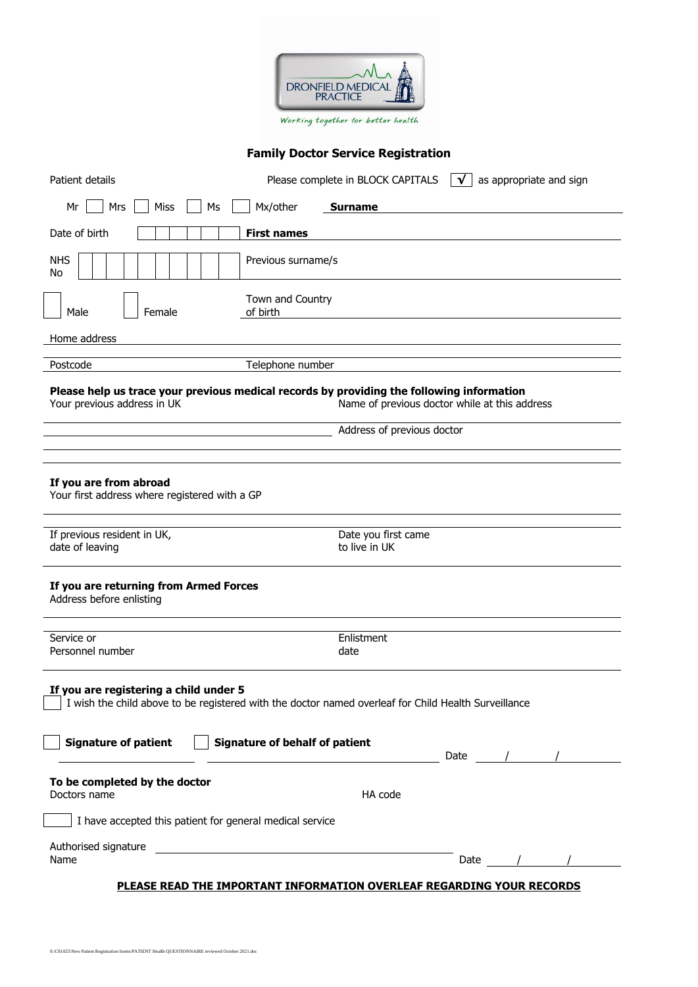

#### **Family Doctor Service Registration**

| Patient details                                                                                                                                                                                                                | Please complete in BLOCK CAPITALS<br>as appropriate and sign<br>$\mathsf{I}$ $\mathsf{V}$ $\mathsf{I}$ |  |
|--------------------------------------------------------------------------------------------------------------------------------------------------------------------------------------------------------------------------------|--------------------------------------------------------------------------------------------------------|--|
| Mrs<br>Mx/other<br>Mr<br>Miss<br>Ms                                                                                                                                                                                            | <b>Surname</b>                                                                                         |  |
| <b>First names</b><br>Date of birth                                                                                                                                                                                            |                                                                                                        |  |
| <b>NHS</b><br>Previous surname/s<br>No                                                                                                                                                                                         |                                                                                                        |  |
| Town and Country<br>Male<br>Female<br>of birth                                                                                                                                                                                 |                                                                                                        |  |
| Home address                                                                                                                                                                                                                   |                                                                                                        |  |
| Postcode<br>Telephone number                                                                                                                                                                                                   |                                                                                                        |  |
| Please help us trace your previous medical records by providing the following information<br>Your previous address in UK                                                                                                       | Name of previous doctor while at this address                                                          |  |
|                                                                                                                                                                                                                                | Address of previous doctor                                                                             |  |
|                                                                                                                                                                                                                                |                                                                                                        |  |
| If you are from abroad<br>Your first address where registered with a GP<br>If previous resident in UK,                                                                                                                         | Date you first came                                                                                    |  |
| date of leaving                                                                                                                                                                                                                | to live in UK                                                                                          |  |
| If you are returning from Armed Forces<br>Address before enlisting                                                                                                                                                             |                                                                                                        |  |
| Service or<br>Personnel number                                                                                                                                                                                                 | Enlistment<br>date                                                                                     |  |
| If you are registering a child under 5<br>I wish the child above to be registered with the doctor named overleaf for Child Health Surveillance<br><b>Signature of patient</b><br><b>Signature of behalf of patient</b><br>Date |                                                                                                        |  |
| To be completed by the doctor                                                                                                                                                                                                  |                                                                                                        |  |
| Doctors name                                                                                                                                                                                                                   | HA code                                                                                                |  |
| I have accepted this patient for general medical service                                                                                                                                                                       |                                                                                                        |  |
| Authorised signature<br><u> 1989 - Johann Stein, amerikansk politiker (</u><br>Name                                                                                                                                            | Date                                                                                                   |  |
|                                                                                                                                                                                                                                | PLEASE READ THE IMPORTANT INFORMATION OVERLEAF REGARDING YOUR RECORDS                                  |  |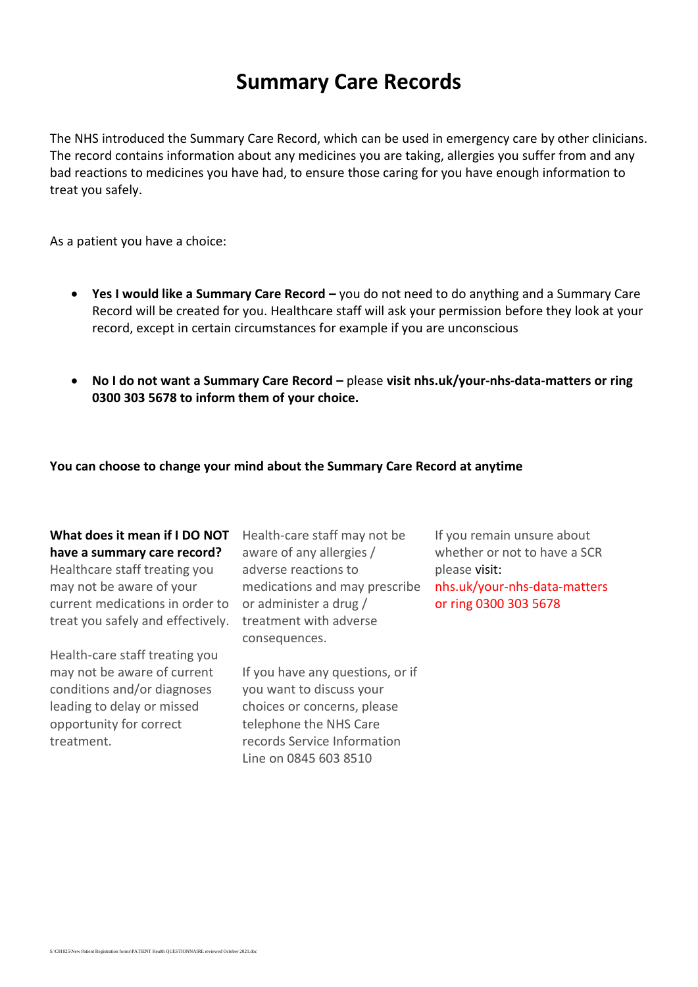## **Summary Care Records**

The NHS introduced the Summary Care Record, which can be used in emergency care by other clinicians. The record contains information about any medicines you are taking, allergies you suffer from and any bad reactions to medicines you have had, to ensure those caring for you have enough information to treat you safely.

As a patient you have a choice:

- **Yes I would like a Summary Care Record –** you do not need to do anything and a Summary Care Record will be created for you. Healthcare staff will ask your permission before they look at your record, except in certain circumstances for example if you are unconscious
- **No I do not want a Summary Care Record –** please **visit nhs.uk/your-nhs-data-matters or ring 0300 303 5678 to inform them of your choice.**

#### **You can choose to change your mind about the Summary Care Record at anytime**

#### **What does it mean if I DO NOT have a summary care record?**

Healthcare staff treating you may not be aware of your current medications in order to treat you safely and effectively.

Health-care staff treating you may not be aware of current conditions and/or diagnoses leading to delay or missed opportunity for correct treatment.

Health-care staff may not be aware of any allergies / adverse reactions to medications and may prescribe or administer a drug / treatment with adverse consequences.

If you have any questions, or if you want to discuss your choices or concerns, please telephone the NHS Care records Service Information Line on 0845 603 8510

If you remain unsure about whether or not to have a SCR please visit: nhs.uk/your-nhs-data-matters or ring 0300 303 5678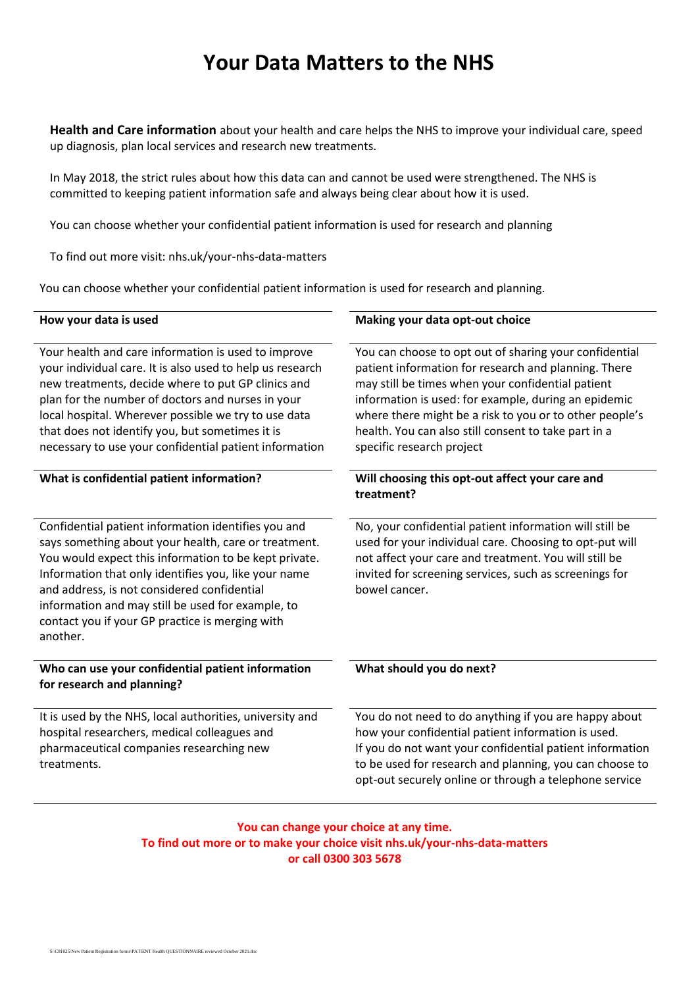## **Your Data Matters to the NHS**

**Health and Care information** about your health and care helps the NHS to improve your individual care, speed up diagnosis, plan local services and research new treatments.

In May 2018, the strict rules about how this data can and cannot be used were strengthened. The NHS is committed to keeping patient information safe and always being clear about how it is used.

You can choose whether your confidential patient information is used for research and planning

To find out more visit: nhs.uk/your-nhs-data-matters

You can choose whether your confidential patient information is used for research and planning.

| How your data is used                                                                                                                                                                                                                                                                                                                                                                            | Making your data opt-out choice                                                                                                                                                                                                                                                                                                                                             |
|--------------------------------------------------------------------------------------------------------------------------------------------------------------------------------------------------------------------------------------------------------------------------------------------------------------------------------------------------------------------------------------------------|-----------------------------------------------------------------------------------------------------------------------------------------------------------------------------------------------------------------------------------------------------------------------------------------------------------------------------------------------------------------------------|
| Your health and care information is used to improve<br>your individual care. It is also used to help us research<br>new treatments, decide where to put GP clinics and<br>plan for the number of doctors and nurses in your<br>local hospital. Wherever possible we try to use data<br>that does not identify you, but sometimes it is<br>necessary to use your confidential patient information | You can choose to opt out of sharing your confidential<br>patient information for research and planning. There<br>may still be times when your confidential patient<br>information is used: for example, during an epidemic<br>where there might be a risk to you or to other people's<br>health. You can also still consent to take part in a<br>specific research project |
| What is confidential patient information?                                                                                                                                                                                                                                                                                                                                                        | Will choosing this opt-out affect your care and<br>treatment?                                                                                                                                                                                                                                                                                                               |
| Confidential patient information identifies you and<br>says something about your health, care or treatment.<br>You would expect this information to be kept private.<br>Information that only identifies you, like your name<br>and address, is not considered confidential<br>information and may still be used for example, to<br>contact you if your GP practice is merging with<br>another.  | No, your confidential patient information will still be<br>used for your individual care. Choosing to opt-put will<br>not affect your care and treatment. You will still be<br>invited for screening services, such as screenings for<br>bowel cancer.                                                                                                                      |
| Who can use your confidential patient information<br>for research and planning?                                                                                                                                                                                                                                                                                                                  | What should you do next?                                                                                                                                                                                                                                                                                                                                                    |
| It is used by the NHS, local authorities, university and<br>hospital researchers, medical colleagues and<br>pharmaceutical companies researching new<br>treatments.                                                                                                                                                                                                                              | You do not need to do anything if you are happy about<br>how your confidential patient information is used.<br>If you do not want your confidential patient information<br>to be used for research and planning, you can choose to<br>opt-out securely online or through a telephone service                                                                                |

**You can change your choice at any time. To find out more or to make your choice visit nhs.uk/your-nhs-data-matters or call 0300 303 5678**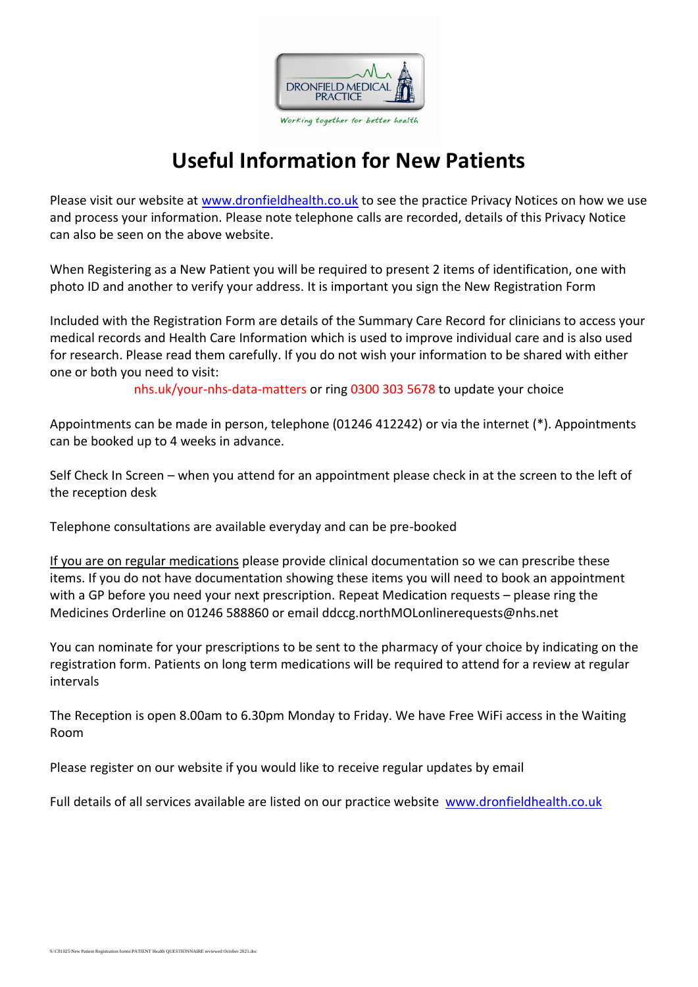

# **Useful Information for New Patients**

Please visit our website at [www.dronfieldhealth.co.uk](http://www.dronfieldhealth.co.uk/) to see the practice Privacy Notices on how we use and process your information. Please note telephone calls are recorded, details of this Privacy Notice can also be seen on the above website.

When Registering as a New Patient you will be required to present 2 items of identification, one with photo ID and another to verify your address. It is important you sign the New Registration Form

Included with the Registration Form are details of the Summary Care Record for clinicians to access your medical records and Health Care Information which is used to improve individual care and is also used for research. Please read them carefully. If you do not wish your information to be shared with either one or both you need to visit:

nhs.uk/your-nhs-data-matters or ring 0300 303 5678 to update your choice

Appointments can be made in person, telephone (01246 412242) or via the internet (\*). Appointments can be booked up to 4 weeks in advance.

Self Check In Screen – when you attend for an appointment please check in at the screen to the left of the reception desk

Telephone consultations are available everyday and can be pre-booked

If you are on regular medications please provide clinical documentation so we can prescribe these items. If you do not have documentation showing these items you will need to book an appointment with a GP before you need your next prescription. Repeat Medication requests – please ring the Medicines Orderline on 01246 588860 or email ddccg.northMOLonlinerequests@nhs.net

You can nominate for your prescriptions to be sent to the pharmacy of your choice by indicating on the registration form. Patients on long term medications will be required to attend for a review at regular intervals

The Reception is open 8.00am to 6.30pm Monday to Friday. We have Free WiFi access in the Waiting Room

Please register on our website if you would like to receive regular updates by email

Full details of all services available are listed on our practice website [www.dronfieldhealth.co.uk](http://www.dronfieldhealth.co.uk/)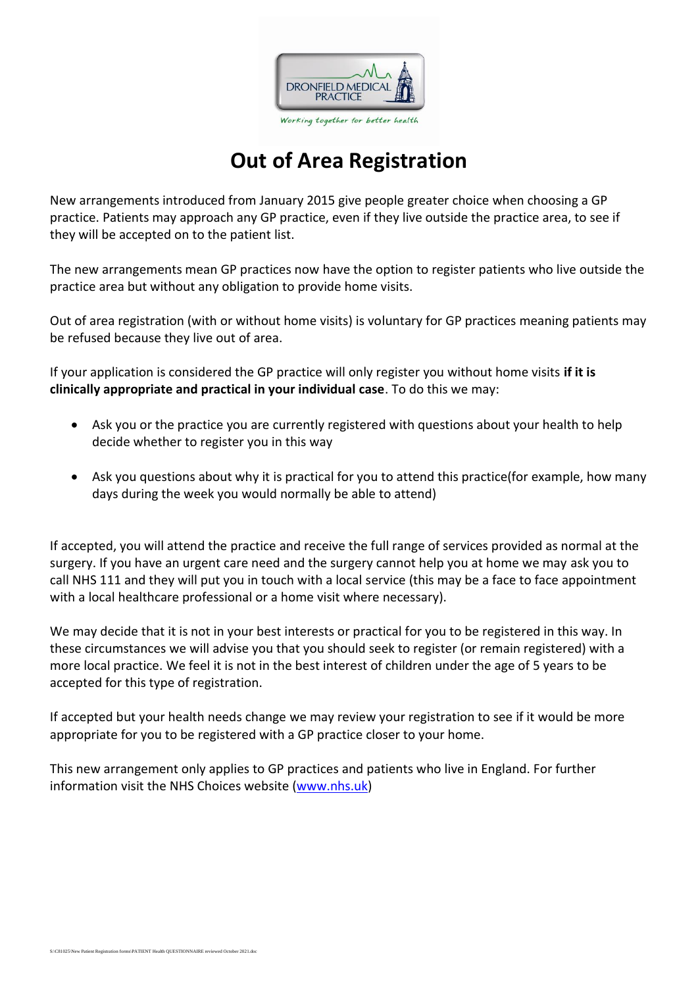

# **Out of Area Registration**

New arrangements introduced from January 2015 give people greater choice when choosing a GP practice. Patients may approach any GP practice, even if they live outside the practice area, to see if they will be accepted on to the patient list.

The new arrangements mean GP practices now have the option to register patients who live outside the practice area but without any obligation to provide home visits.

Out of area registration (with or without home visits) is voluntary for GP practices meaning patients may be refused because they live out of area.

If your application is considered the GP practice will only register you without home visits **if it is clinically appropriate and practical in your individual case**. To do this we may:

- Ask you or the practice you are currently registered with questions about your health to help decide whether to register you in this way
- Ask you questions about why it is practical for you to attend this practice(for example, how many days during the week you would normally be able to attend)

If accepted, you will attend the practice and receive the full range of services provided as normal at the surgery. If you have an urgent care need and the surgery cannot help you at home we may ask you to call NHS 111 and they will put you in touch with a local service (this may be a face to face appointment with a local healthcare professional or a home visit where necessary).

We may decide that it is not in your best interests or practical for you to be registered in this way. In these circumstances we will advise you that you should seek to register (or remain registered) with a more local practice. We feel it is not in the best interest of children under the age of 5 years to be accepted for this type of registration.

If accepted but your health needs change we may review your registration to see if it would be more appropriate for you to be registered with a GP practice closer to your home.

This new arrangement only applies to GP practices and patients who live in England. For further information visit the NHS Choices website [\(www.nhs.uk\)](http://www.nhs.uk/)